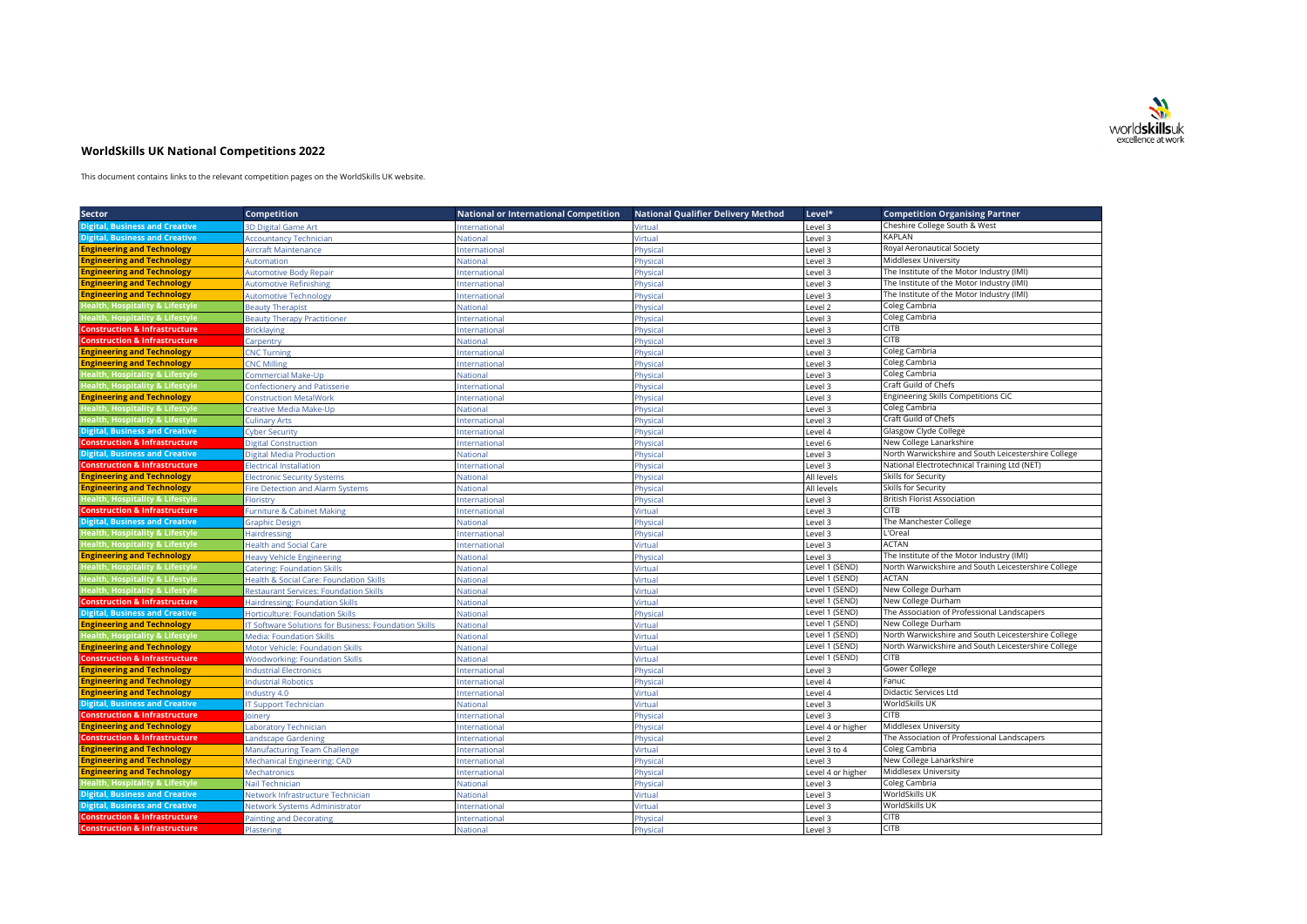

## **WorldSkills UK National Competitions 2022**

This document contains links to the relevant competition pages on the WorldSkills UK website.

| <b>Sector</b>                              | <b>Competition</b>                                   | <b>National or International Competition</b> | <b>National Qualifier Delivery Method</b> | Level*             | <b>Competition Organising Partner</b>               |
|--------------------------------------------|------------------------------------------------------|----------------------------------------------|-------------------------------------------|--------------------|-----------------------------------------------------|
| <b>Digital, Business and Creative</b>      | 3D Digital Game Art                                  | nternational                                 | /irtual                                   | evel 3             | Cheshire College South & West                       |
| <b>Digital, Business and Creative</b>      | <b>Accountancy Technician</b>                        | <b>Nationa</b>                               | Virtual                                   | Level 3            | KAPLAN                                              |
| <b>Engineering and Technology</b>          | Aircraft Maintenance                                 | <b>International</b>                         | Physical                                  | Level 3            | Royal Aeronautical Society                          |
| <b>Engineering and Technology</b>          | Automation                                           | <b>National</b>                              | <sup>2</sup> hysical                      | Level 3            | Middlesex University                                |
| <b>Engineering and Technology</b>          | <b>Automotive Body Repair</b>                        | Internationa                                 | Physical                                  | Level 3            | The Institute of the Motor Industry (IMI)           |
| <b>Engineering and Technology</b>          | <b>Automotive Refinishing</b>                        | International                                | Physical                                  | Level 3            | The Institute of the Motor Industry (IMI)           |
| <b>Engineering and Technology</b>          | <b>Automotive Technology</b>                         | International                                | Physical                                  | Level 3            | The Institute of the Motor Industry (IMI)           |
| Health, Hospitality & Lifestyle            | <b>Beauty Therapist</b>                              | National                                     | Physical                                  | Level <sub>2</sub> | Coleg Cambria                                       |
| <b>Health, Hospitality &amp; Lifestyle</b> | <b>Beauty Therapy Practitioner</b>                   | International                                | Physical                                  | Level 3            | Coleg Cambria                                       |
| <b>Construction &amp; Infrastructure</b>   | <b>Bricklaying</b>                                   | International                                | Physical                                  | Level 3            | CITB                                                |
| <b>Construction &amp; Infrastructure</b>   | Carpentry                                            | National                                     | Physical                                  | Level 3            | <b>CITB</b>                                         |
| <b>Engineering and Technology</b>          | <b>CNC Turning</b>                                   | International                                | Physical                                  | Level 3            | Coleg Cambria                                       |
| <b>Engineering and Technology</b>          | <b>CNC Milling</b>                                   | International                                | Physical                                  | Level 3            | Coleg Cambria                                       |
| <b>Health, Hospitality &amp; Lifestyle</b> | Commercial Make-Up                                   | National                                     | Physical                                  | Level 3            | Coleg Cambria                                       |
| <b>Health, Hospitality &amp; Lifestyle</b> | <b>Confectionery and Patisserie</b>                  | nternationa                                  | Physical                                  | Level 3            | Craft Guild of Chefs                                |
| <b>Engineering and Technology</b>          | <b>Construction MetalWork</b>                        | International                                | Physical                                  | Level 3            | <b>Engineering Skills Competitions CiC</b>          |
| <b>Health, Hospitality &amp; Lifestyle</b> | Creative Media Make-Up                               | <b>National</b>                              | Physical                                  | Level 3            | Coleg Cambria                                       |
| <b>Health, Hospitality &amp; Lifestyle</b> | <b>Culinary Arts</b>                                 | nternationa                                  | hysical                                   | Level 3            | Craft Guild of Chefs                                |
| <b>Digital, Business and Creative</b>      | <b>Cyber Security</b>                                | Internationa                                 | Physical                                  | Level 4            | Glasgow Clyde College                               |
| <b>Construction &amp; Infrastructure</b>   | Digital Construction                                 | International                                | Physical                                  | Level 6            | New College Lanarkshire                             |
| <b>Digital, Business and Creative</b>      | Digital Media Production                             | <b>National</b>                              | <sup>2</sup> hysical                      | evel 3             | North Warwickshire and South Leicestershire College |
| <b>Construction &amp; Infrastructure</b>   | <b>Electrical Installation</b>                       | Internationa                                 | Physical                                  | Level 3            | National Electrotechnical Training Ltd (NET)        |
| <b>Engineering and Technology</b>          | <b>Electronic Security Systems</b>                   | National                                     | Physical                                  | All levels         | Skills for Security                                 |
| <b>Engineering and Technology</b>          | <b>Fire Detection and Alarm Systems</b>              | <b>Vational</b>                              | Physical                                  | All levels         | Skills for Security                                 |
| <b>Health, Hospitality &amp; Lifestyle</b> | Floristry                                            | Internationa                                 | Physical                                  | Level 3            | <b>British Florist Association</b>                  |
| <b>Construction &amp; Infrastructure</b>   | <b>Furniture &amp; Cabinet Making</b>                | International                                | Virtual                                   | evel 3             | <b>CITB</b>                                         |
| <b>Digital, Business and Creative</b>      | <b>Graphic Design</b>                                | <b>National</b>                              | Physical                                  | Level 3            | The Manchester College                              |
| <b>Health, Hospitality &amp; Lifestyle</b> | Hairdressing                                         | Internationa                                 | Physical                                  | Level 3            | L'Oreal                                             |
| Health, Hospitality & Lifestyle            | <b>Health and Social Care</b>                        | Internationa                                 | Virtual                                   | Level 3            | <b>ACTAN</b>                                        |
| <b>Engineering and Technology</b>          | <b>Heavy Vehicle Engineering</b>                     | <b>National</b>                              | Physical                                  | Level 3            | The Institute of the Motor Industry (IMI)           |
| <b>Health, Hospitality &amp; Lifestyle</b> | Catering: Foundation Skills                          | National                                     | Virtual                                   | Level 1 (SEND)     | North Warwickshire and South Leicestershire College |
| Health, Hospitality & Lifestyle            | Health & Social Care: Foundation Skills              | <b>Nationa</b>                               | Virtual                                   | Level 1 (SEND)     | <b>ACTAN</b>                                        |
| Health, Hospitality & Lifestyle            | <b>Restaurant Services: Foundation Skills</b>        | <b>Nationa</b>                               | <b>/irtual</b>                            | Level 1 (SEND)     | New College Durham                                  |
| <b>Construction &amp; Infrastructure</b>   | Hairdressing: Foundation Skills                      | Nationa                                      | <b>/irtual</b>                            | Level 1 (SEND)     | New College Durham                                  |
| <b>Digital, Business and Creative</b>      | Horticulture: Foundation Skills                      | <b>Nationa</b>                               | Physical                                  | Level 1 (SEND)     | The Association of Professional Landscapers         |
| <b>Engineering and Technology</b>          | T Software Solutions for Business: Foundation Skills | <b>Nationa</b>                               | Virtual                                   | Level 1 (SEND)     | New College Durham                                  |
| Health, Hospitality & Lifestyle            | Media: Foundation Skills                             | National                                     | <b>/irtual</b>                            | Level 1 (SEND)     | North Warwickshire and South Leicestershire College |
| <b>Engineering and Technology</b>          | Motor Vehicle: Foundation Skills                     | <b>Nationa</b>                               | <b>Virtual</b>                            | Level 1 (SEND)     | North Warwickshire and South Leicestershire College |
| <b>Construction &amp; Infrastructure</b>   | <b>Woodworking: Foundation Skills</b>                | National                                     | <b>/irtual</b>                            | Level 1 (SEND)     | CITB                                                |
| <b>Engineering and Technology</b>          | <b>Industrial Electronics</b>                        | International                                | Physical                                  | Level 3            | Gower College                                       |
| <b>Engineering and Technology</b>          | ndustrial Robotics                                   | nternational                                 | <b>Physical</b>                           | evel 4             | Fanuc                                               |
| <b>Engineering and Technology</b>          | ndustry 4.0                                          | International                                | Virtual                                   | Level 4            | <b>Didactic Services Ltd</b>                        |
| <b>Digital, Business and Creative</b>      | <b>T Support Technician</b>                          | National                                     | Virtual                                   | Level 3            | WorldSkills UK                                      |
| <b>Construction &amp; Infrastructure</b>   | oinerv                                               | nternationa                                  | Physical                                  | evel 3             | <b>CITB</b>                                         |
| <b>Engineering and Technology</b>          | Laboratory Technician                                | Internationa                                 | Physical                                  | Level 4 or higher  | Middlesex University                                |
| <b>Construction &amp; Infrastructure</b>   | Landscape Gardening                                  | nternational                                 | Physical                                  | Level <sub>2</sub> | The Association of Professional Landscapers         |
| <b>Engineering and Technology</b>          | Manufacturing Team Challenge                         | nternational                                 | <b>/irtual</b>                            | Level 3 to 4       | Coleg Cambria                                       |
| <b>Engineering and Technology</b>          | Mechanical Engineering: CAD                          | International                                | Physical                                  | Level 3            | New College Lanarkshire                             |
| <b>Engineering and Technology</b>          | <b>Mechatronics</b>                                  | <b>International</b>                         | Physical                                  | Level 4 or higher  | Middlesex University                                |
| Health, Hospitality & Lifestyl             | Nail Technician                                      | <b>National</b>                              | Physical                                  | Level 3            | Coleg Cambria                                       |
| <b>Digital, Business and Creative</b>      | <b>Network Infrastructure Technician</b>             | National                                     | Virtual                                   | Level 3            | WorldSkills UK                                      |
| <b>Digital, Business and Creative</b>      | Network Systems Administrator                        | International                                | Virtual                                   | Level 3            | WorldSkills UK                                      |
| <b>Construction &amp; Infrastructure</b>   | <b>Painting and Decorating</b>                       | International                                | Physical                                  | Level 3            | <b>CITB</b>                                         |
| <b>Construction &amp; Infrastructure</b>   | Plastering                                           | <b>National</b>                              | Physical                                  | Level 3            | CITB                                                |